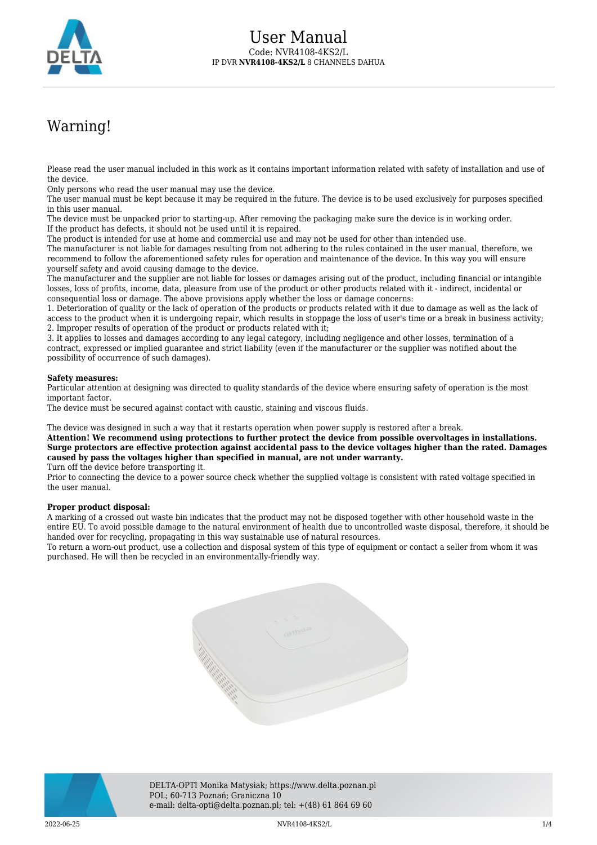

# Warning!

Please read the user manual included in this work as it contains important information related with safety of installation and use of the device.

Only persons who read the user manual may use the device.

The user manual must be kept because it may be required in the future. The device is to be used exclusively for purposes specified in this user manual.

The device must be unpacked prior to starting-up. After removing the packaging make sure the device is in working order. If the product has defects, it should not be used until it is repaired.

The product is intended for use at home and commercial use and may not be used for other than intended use.

The manufacturer is not liable for damages resulting from not adhering to the rules contained in the user manual, therefore, we recommend to follow the aforementioned safety rules for operation and maintenance of the device. In this way you will ensure yourself safety and avoid causing damage to the device.

The manufacturer and the supplier are not liable for losses or damages arising out of the product, including financial or intangible losses, loss of profits, income, data, pleasure from use of the product or other products related with it - indirect, incidental or consequential loss or damage. The above provisions apply whether the loss or damage concerns:

1. Deterioration of quality or the lack of operation of the products or products related with it due to damage as well as the lack of access to the product when it is undergoing repair, which results in stoppage the loss of user's time or a break in business activity; 2. Improper results of operation of the product or products related with it;

3. It applies to losses and damages according to any legal category, including negligence and other losses, termination of a contract, expressed or implied guarantee and strict liability (even if the manufacturer or the supplier was notified about the possibility of occurrence of such damages).

#### **Safety measures:**

Particular attention at designing was directed to quality standards of the device where ensuring safety of operation is the most important factor.

The device must be secured against contact with caustic, staining and viscous fluids.

The device was designed in such a way that it restarts operation when power supply is restored after a break.

**Attention! We recommend using protections to further protect the device from possible overvoltages in installations. Surge protectors are effective protection against accidental pass to the device voltages higher than the rated. Damages caused by pass the voltages higher than specified in manual, are not under warranty.**

Turn off the device before transporting it.

Prior to connecting the device to a power source check whether the supplied voltage is consistent with rated voltage specified in the user manual.

#### **Proper product disposal:**

A marking of a crossed out waste bin indicates that the product may not be disposed together with other household waste in the entire EU. To avoid possible damage to the natural environment of health due to uncontrolled waste disposal, therefore, it should be handed over for recycling, propagating in this way sustainable use of natural resources.

To return a worn-out product, use a collection and disposal system of this type of equipment or contact a seller from whom it was purchased. He will then be recycled in an environmentally-friendly way.





DELTA-OPTI Monika Matysiak; https://www.delta.poznan.pl POL; 60-713 Poznań; Graniczna 10 e-mail: delta-opti@delta.poznan.pl; tel: +(48) 61 864 69 60

2022-06-25 NVR4108-4KS2/L 1/4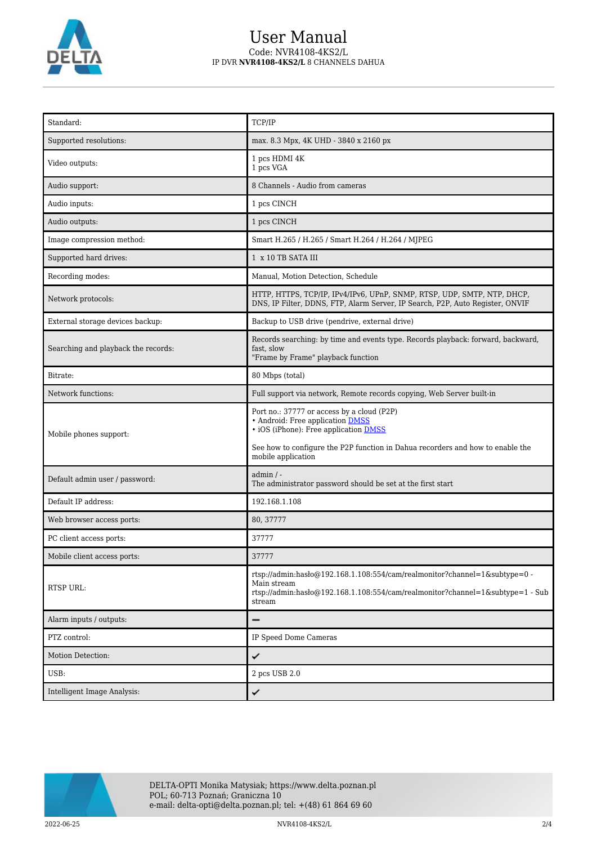

## User Manual Code: NVR4108-4KS2/L IP DVR **NVR4108-4KS2/L** 8 CHANNELS DAHUA

| Standard:                           | TCP/IP                                                                                                                                                                                                                                 |  |
|-------------------------------------|----------------------------------------------------------------------------------------------------------------------------------------------------------------------------------------------------------------------------------------|--|
| Supported resolutions:              | max. 8.3 Mpx, 4K UHD - 3840 x 2160 px                                                                                                                                                                                                  |  |
| Video outputs:                      | 1 pcs HDMI 4K<br>1 pcs VGA                                                                                                                                                                                                             |  |
| Audio support:                      | 8 Channels - Audio from cameras                                                                                                                                                                                                        |  |
| Audio inputs:                       | 1 pcs CINCH                                                                                                                                                                                                                            |  |
| Audio outputs:                      | 1 pcs CINCH                                                                                                                                                                                                                            |  |
| Image compression method:           | Smart H.265 / H.265 / Smart H.264 / H.264 / MJPEG                                                                                                                                                                                      |  |
| Supported hard drives:              | 1 x 10 TB SATA III                                                                                                                                                                                                                     |  |
| Recording modes:                    | Manual, Motion Detection, Schedule                                                                                                                                                                                                     |  |
| Network protocols:                  | HTTP, HTTPS, TCP/IP, IPv4/IPv6, UPnP, SNMP, RTSP, UDP, SMTP, NTP, DHCP,<br>DNS, IP Filter, DDNS, FTP, Alarm Server, IP Search, P2P, Auto Register, ONVIF                                                                               |  |
| External storage devices backup:    | Backup to USB drive (pendrive, external drive)                                                                                                                                                                                         |  |
| Searching and playback the records: | Records searching: by time and events type. Records playback: forward, backward,<br>fast, slow<br>"Frame by Frame" playback function                                                                                                   |  |
| Bitrate:                            | 80 Mbps (total)                                                                                                                                                                                                                        |  |
| Network functions:                  | Full support via network, Remote records copying, Web Server built-in                                                                                                                                                                  |  |
| Mobile phones support:              | Port no.: 37777 or access by a cloud (P2P)<br>• Android: Free application DMSS<br>• iOS (iPhone): Free application <b>DMSS</b><br>See how to configure the P2P function in Dahua recorders and how to enable the<br>mobile application |  |
| Default admin user / password:      | $admin / -$<br>The administrator password should be set at the first start                                                                                                                                                             |  |
| Default IP address:                 | 192.168.1.108                                                                                                                                                                                                                          |  |
| Web browser access ports:           | 80, 37777                                                                                                                                                                                                                              |  |
| PC client access ports:             | 37777                                                                                                                                                                                                                                  |  |
| Mobile client access ports:         | 37777                                                                                                                                                                                                                                  |  |
| RTSP URL:                           | rtsp://admin:hasło@192.168.1.108:554/cam/realmonitor?channel=1&subtype=0 -<br>Main stream<br>rtsp://admin:haslo $@192.168.1.108.554/cam/realmonitor?channel=1$ &subtype=1 - Sub<br>stream                                              |  |
| Alarm inputs / outputs:             |                                                                                                                                                                                                                                        |  |
| PTZ control:                        | IP Speed Dome Cameras                                                                                                                                                                                                                  |  |
| Motion Detection:                   | ✓                                                                                                                                                                                                                                      |  |
| USB:                                | 2 pcs USB 2.0                                                                                                                                                                                                                          |  |
| Intelligent Image Analysis:         | ✓                                                                                                                                                                                                                                      |  |



2022-06-25 NVR4108-4KS2/L 2/4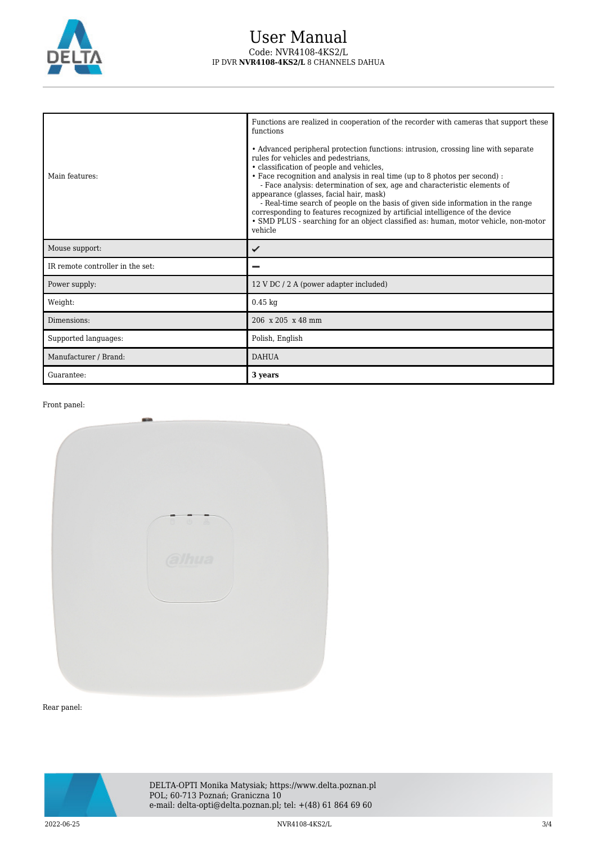

### User Manual Code: NVR4108-4KS2/L IP DVR **NVR4108-4KS2/L** 8 CHANNELS DAHUA

| Main features:                   | Functions are realized in cooperation of the recorder with cameras that support these<br>functions<br>• Advanced peripheral protection functions: intrusion, crossing line with separate<br>rules for vehicles and pedestrians,<br>• classification of people and vehicles,<br>• Face recognition and analysis in real time (up to 8 photos per second) :<br>- Face analysis: determination of sex, age and characteristic elements of<br>appearance (glasses, facial hair, mask)<br>- Real-time search of people on the basis of given side information in the range<br>corresponding to features recognized by artificial intelligence of the device<br>• SMD PLUS - searching for an object classified as: human, motor vehicle, non-motor<br>vehicle |  |
|----------------------------------|----------------------------------------------------------------------------------------------------------------------------------------------------------------------------------------------------------------------------------------------------------------------------------------------------------------------------------------------------------------------------------------------------------------------------------------------------------------------------------------------------------------------------------------------------------------------------------------------------------------------------------------------------------------------------------------------------------------------------------------------------------|--|
| Mouse support:                   | ✓                                                                                                                                                                                                                                                                                                                                                                                                                                                                                                                                                                                                                                                                                                                                                        |  |
| IR remote controller in the set: |                                                                                                                                                                                                                                                                                                                                                                                                                                                                                                                                                                                                                                                                                                                                                          |  |
| Power supply:                    | 12 V DC / 2 A (power adapter included)                                                                                                                                                                                                                                                                                                                                                                                                                                                                                                                                                                                                                                                                                                                   |  |
| Weight:                          | $0.45$ kg                                                                                                                                                                                                                                                                                                                                                                                                                                                                                                                                                                                                                                                                                                                                                |  |
| Dimensions:                      | $206 \times 205 \times 48$ mm                                                                                                                                                                                                                                                                                                                                                                                                                                                                                                                                                                                                                                                                                                                            |  |
| Supported languages:             | Polish, English                                                                                                                                                                                                                                                                                                                                                                                                                                                                                                                                                                                                                                                                                                                                          |  |
| Manufacturer / Brand:            | <b>DAHUA</b>                                                                                                                                                                                                                                                                                                                                                                                                                                                                                                                                                                                                                                                                                                                                             |  |
| Guarantee:                       | 3 years                                                                                                                                                                                                                                                                                                                                                                                                                                                                                                                                                                                                                                                                                                                                                  |  |

Front panel:



Rear panel:



2022-06-25 NVR4108-4KS2/L